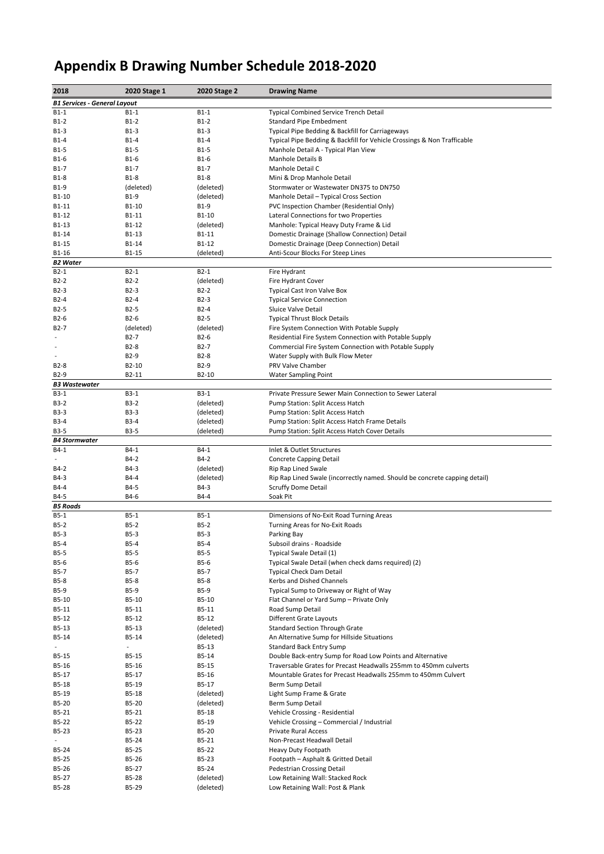## **Appendix B Drawing Number Schedule 2018-2020**

| 2018                                | 2020 Stage 1               | 2020 Stage 2        | <b>Drawing Name</b>                                                               |  |  |
|-------------------------------------|----------------------------|---------------------|-----------------------------------------------------------------------------------|--|--|
| <b>B1 Services - General Layout</b> |                            |                     |                                                                                   |  |  |
| $B1-1$                              | $B1-1$                     | $B1-1$              | <b>Typical Combined Service Trench Detail</b>                                     |  |  |
| B1-2                                | $B1-2$                     | $B1-2$              | <b>Standard Pipe Embedment</b>                                                    |  |  |
| B1-3                                | B1-3                       | B1-3                | Typical Pipe Bedding & Backfill for Carriageways                                  |  |  |
| B1-4                                | $B1-4$                     | B1-4                | Typical Pipe Bedding & Backfill for Vehicle Crossings & Non Trafficable           |  |  |
| B1-5                                | <b>B1-5</b>                | B1-5                | Manhole Detail A - Typical Plan View                                              |  |  |
| B1-6                                | $B1-6$                     | $B1-6$              | <b>Manhole Details B</b>                                                          |  |  |
| B1-7                                | $B1-7$                     | $B1-7$              | Manhole Detail C                                                                  |  |  |
| B1-8                                | <b>B1-8</b>                | $B1-8$              | Mini & Drop Manhole Detail                                                        |  |  |
| B1-9                                | (deleted)                  | (deleted)           | Stormwater or Wastewater DN375 to DN750                                           |  |  |
| B1-10                               | B1-9                       | (deleted)           | Manhole Detail - Typical Cross Section                                            |  |  |
| B1-11                               | B1-10                      | B1-9                | PVC Inspection Chamber (Residential Only)                                         |  |  |
| B1-12<br>B1-13                      | B1-11<br>B1-12             | B1-10<br>(deleted)  | Lateral Connections for two Properties<br>Manhole: Typical Heavy Duty Frame & Lid |  |  |
| B1-14                               | B1-13                      | B1-11               | Domestic Drainage (Shallow Connection) Detail                                     |  |  |
| B1-15                               | B1-14                      | B1-12               | Domestic Drainage (Deep Connection) Detail                                        |  |  |
| B1-16                               | B1-15                      | (deleted)           | Anti-Scour Blocks For Steep Lines                                                 |  |  |
| <b>B2 Water</b>                     |                            |                     |                                                                                   |  |  |
| $B2-1$                              | $B2-1$                     | $B2-1$              | Fire Hydrant                                                                      |  |  |
| $B2-2$                              | $B2-2$                     | (deleted)           | Fire Hydrant Cover                                                                |  |  |
| B2-3                                | $B2-3$                     | $B2-2$              | Typical Cast Iron Valve Box                                                       |  |  |
| B2-4                                | $B2-4$                     | $B2-3$              | <b>Typical Service Connection</b>                                                 |  |  |
| B2-5                                | $B2-5$                     | B2-4                | Sluice Valve Detail                                                               |  |  |
| B2-6                                | $B2-6$                     | $B2-5$              | <b>Typical Thrust Block Details</b>                                               |  |  |
| B2-7                                | (deleted)                  | (deleted)           | Fire System Connection With Potable Supply                                        |  |  |
|                                     | $B2-7$                     | $B2-6$              | Residential Fire System Connection with Potable Supply                            |  |  |
| $\overline{\phantom{a}}$            | B <sub>2</sub> -8          | $B2-7$              | Commercial Fire System Connection with Potable Supply                             |  |  |
|                                     | B <sub>2</sub> -9          | $B2-8$              | Water Supply with Bulk Flow Meter                                                 |  |  |
| B2-8                                | B2-10                      | B <sub>2</sub> -9   | PRV Valve Chamber                                                                 |  |  |
| B2-9                                | B2-11                      | B2-10               | <b>Water Sampling Point</b>                                                       |  |  |
| <b>B3 Wastewater</b><br>B3-1        | $B3-1$                     | $B3-1$              | Private Pressure Sewer Main Connection to Sewer Lateral                           |  |  |
| B3-2                                | $B3-2$                     | (deleted)           | Pump Station: Split Access Hatch                                                  |  |  |
| B3-3                                | <b>B3-3</b>                | (deleted)           | Pump Station: Split Access Hatch                                                  |  |  |
| B3-4                                | <b>B3-4</b>                | (deleted)           | Pump Station: Split Access Hatch Frame Details                                    |  |  |
| B3-5                                | <b>B3-5</b>                | (deleted)           | Pump Station: Split Access Hatch Cover Details                                    |  |  |
| <b>B4 Stormwater</b>                |                            |                     |                                                                                   |  |  |
| $B4-1$                              | $B4-1$                     | B4-1                | Inlet & Outlet Structures                                                         |  |  |
|                                     | B4-2                       | B4-2                | <b>Concrete Capping Detail</b>                                                    |  |  |
| B4-2                                | B4-3                       | (deleted)           | Rip Rap Lined Swale                                                               |  |  |
| B4-3                                | B4-4                       | (deleted)           | Rip Rap Lined Swale (incorrectly named. Should be concrete capping detail)        |  |  |
| B4-4                                | B4-5                       | B4-3                | <b>Scruffy Dome Detail</b>                                                        |  |  |
| B4-5                                | B4-6                       | B4-4                | Soak Pit                                                                          |  |  |
| <b>B5 Roads</b>                     |                            |                     |                                                                                   |  |  |
| B5-1                                | $B5-1$                     | $B5-1$              | Dimensions of No-Exit Road Turning Areas                                          |  |  |
| $B5-2$                              | $B5-2$                     | $B5-2$              | Turning Areas for No-Exit Roads                                                   |  |  |
| B5-3                                | $B5-3$                     | $B5-3$              | Parking Bay                                                                       |  |  |
| B5-4<br><b>B5-5</b>                 | <b>B5-4</b><br><b>B5-5</b> | B5-4<br><b>B5-5</b> | Subsoil drains - Roadside<br>Typical Swale Detail (1)                             |  |  |
| B5-6                                | <b>B5-6</b>                | B5-6                | Typical Swale Detail (when check dams required) (2)                               |  |  |
| B5-7                                | <b>B5-7</b>                | B5-7                | <b>Typical Check Dam Detail</b>                                                   |  |  |
| B5-8                                | <b>B5-8</b>                | <b>B5-8</b>         | Kerbs and Dished Channels                                                         |  |  |
| B5-9                                | B5-9                       | B5-9                | Typical Sump to Driveway or Right of Way                                          |  |  |
| B5-10                               | B5-10                      | B5-10               | Flat Channel or Yard Sump - Private Only                                          |  |  |
| B5-11                               | B5-11                      | B5-11               | Road Sump Detail                                                                  |  |  |
| B5-12                               | B5-12                      | B5-12               | Different Grate Layouts                                                           |  |  |
| B5-13                               | B5-13                      | (deleted)           | <b>Standard Section Through Grate</b>                                             |  |  |
| B5-14                               | B5-14                      | (deleted)           | An Alternative Sump for Hillside Situations                                       |  |  |
|                                     | $\overline{\phantom{a}}$   | B5-13               | <b>Standard Back Entry Sump</b>                                                   |  |  |
| B5-15                               | B5-15                      | B5-14               | Double Back-entry Sump for Road Low Points and Alternative                        |  |  |
| B5-16                               | B5-16                      | B5-15               | Traversable Grates for Precast Headwalls 255mm to 450mm culverts                  |  |  |
| B5-17                               | B5-17                      | B5-16               | Mountable Grates for Precast Headwalls 255mm to 450mm Culvert                     |  |  |
| B5-18                               | B5-19                      | B5-17               | Berm Sump Detail                                                                  |  |  |
| B5-19                               | B5-18                      | (deleted)           | Light Sump Frame & Grate                                                          |  |  |
| B5-20                               | B5-20                      | (deleted)           | Berm Sump Detail                                                                  |  |  |
| B5-21                               | B5-21                      | B5-18               | Vehicle Crossing - Residential                                                    |  |  |
| B5-22<br>B5-23                      | B5-22<br>B5-23             | B5-19<br>B5-20      | Vehicle Crossing - Commercial / Industrial<br><b>Private Rural Access</b>         |  |  |
|                                     | B5-24                      | B5-21               | Non-Precast Headwall Detail                                                       |  |  |
| B5-24                               | B5-25                      | B5-22               | Heavy Duty Footpath                                                               |  |  |
| B5-25                               | B5-26                      | B5-23               | Footpath - Asphalt & Gritted Detail                                               |  |  |
| B5-26                               | B5-27                      | B5-24               | Pedestrian Crossing Detail                                                        |  |  |
|                                     |                            |                     |                                                                                   |  |  |
| B5-27                               | B5-28                      | (deleted)           | Low Retaining Wall: Stacked Rock                                                  |  |  |